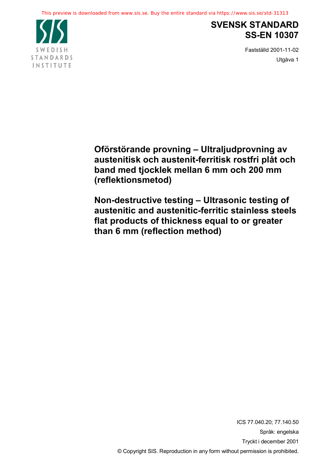

# **SVENSK STANDARD SS-EN 10307**

Fastst‰lld 2001-11-02 Utgåva 1

**Oförstörande provning – Ultraljudprovning av austenitisk och austenit-ferritisk rostfri plÂt och band med tjocklek mellan 6 mm och 200 mm (reflektionsmetod)**

**Non-destructive testing - Ultrasonic testing of austenitic and austenitic-ferritic stainless steels flat products of thickness equal to or greater than 6 mm (reflection method)**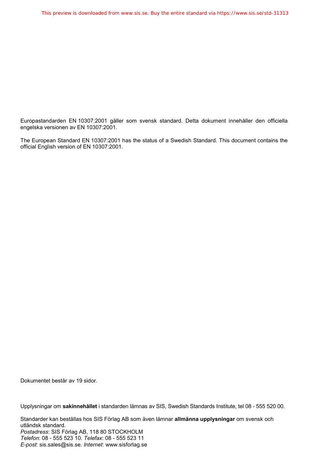Europastandarden EN 10307:2001 gäller som svensk standard. Detta dokument innehåller den officiella engelska versionen av EN 10307:2001.

The European Standard EN 10307:2001 has the status of a Swedish Standard. This document contains the official English version of EN 10307:2001.

Dokumentet består av 19 sidor.

Upplysningar om **sakinnehållet** i standarden lämnas av SIS, Swedish Standards Institute, tel 08 - 555 520 00.

Standarder kan beställas hos SIS Förlag AB som även lämnar **allmänna upplysningar** om svensk och utländsk standard. Postadress: SIS Förlag AB, 118 80 STOCKHOLM *Telefon*: 08 - 555 523 10. *Telefax*: 08 - 555 523 11 *E-post*: sis.sales@sis.se. *Internet*: www.sisforlag.se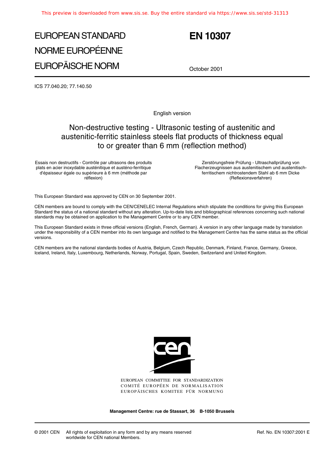# EUROPEAN STANDARD NORME EUROPÉENNE EUROPÄISCHE NORM

# **EN 10307**

October 2001

ICS 77.040.20; 77.140.50

English version

### Non-destructive testing - Ultrasonic testing of austenitic and austenitic-ferritic stainless steels flat products of thickness equal to or greater than 6 mm (reflection method)

Essais non destructifs - Contrôle par ultrasons des produits plats en acier inoxydable austénitique et austéno-ferritique d'épaisseur égale ou supérieure à 6 mm (méthode par réflexion)

Zerstörungsfreie Prüfung - Ultraschallprüfung von Flacherzeugnissen aus austenitischem und austenitischferritischem nichtrostendem Stahl ab 6 mm Dicke (Reflexionsverfahren)

This European Standard was approved by CEN on 30 September 2001.

CEN members are bound to comply with the CEN/CENELEC Internal Regulations which stipulate the conditions for giving this European Standard the status of a national standard without any alteration. Up-to-date lists and bibliographical references concerning such national standards may be obtained on application to the Management Centre or to any CEN member.

This European Standard exists in three official versions (English, French, German). A version in any other language made by translation under the responsibility of a CEN member into its own language and notified to the Management Centre has the same status as the official versions.

CEN members are the national standards bodies of Austria, Belgium, Czech Republic, Denmark, Finland, France, Germany, Greece, Iceland, Ireland, Italy, Luxembourg, Netherlands, Norway, Portugal, Spain, Sweden, Switzerland and United Kingdom.



EUROPEAN COMMITTEE FOR STANDARDIZATION COMITÉ EUROPÉEN DE NORMALISATION EUROPÄISCHES KOMITEE FÜR NORMUNG

**Management Centre: rue de Stassart, 36 B-1050 Brussels**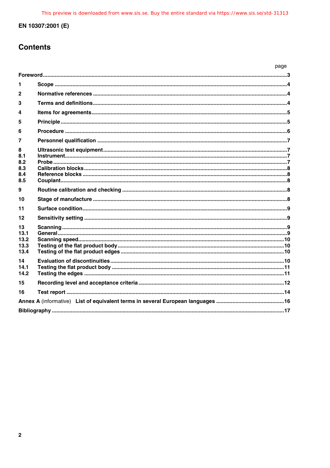## **Contents**

|                                      |  | page |
|--------------------------------------|--|------|
|                                      |  |      |
| 1                                    |  |      |
| $\mathbf{2}$                         |  |      |
| 3                                    |  |      |
| 4                                    |  |      |
| 5                                    |  |      |
| 6                                    |  |      |
| 7                                    |  |      |
| 8<br>8.1<br>8.2<br>8.3<br>8.4<br>8.5 |  |      |
| 9                                    |  |      |
| 10                                   |  |      |
| 11                                   |  |      |
| 12                                   |  |      |
| 13<br>13.1<br>13.2<br>13.3<br>13.4   |  |      |
| 14<br>14.1<br>14.2                   |  |      |
| 15                                   |  |      |
| 16                                   |  |      |
|                                      |  |      |
|                                      |  |      |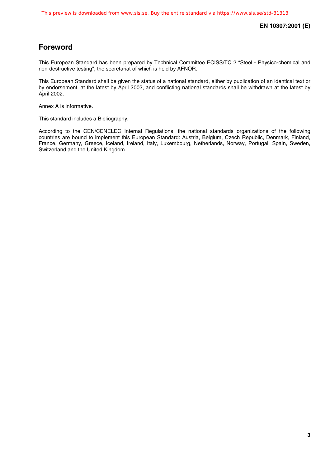### **Foreword**

This European Standard has been prepared by Technical Committee ECISS/TC 2 "Steel - Physico-chemical and non-destructive testing", the secretariat of which is held by AFNOR.

This European Standard shall be given the status of a national standard, either by publication of an identical text or by endorsement, at the latest by April 2002, and conflicting national standards shall be withdrawn at the latest by April 2002.

Annex A is informative.

This standard includes a Bibliography.

According to the CEN/CENELEC Internal Regulations, the national standards organizations of the following countries are bound to implement this European Standard: Austria, Belgium, Czech Republic, Denmark, Finland, France, Germany, Greece, Iceland, Ireland, Italy, Luxembourg, Netherlands, Norway, Portugal, Spain, Sweden, Switzerland and the United Kingdom.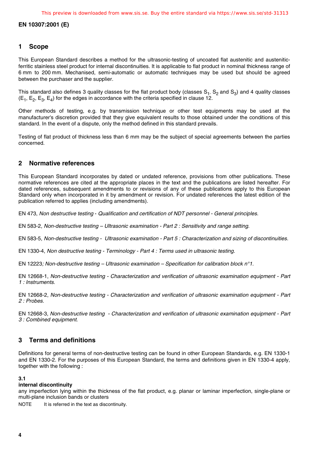#### **1 Scope**

This European Standard describes a method for the ultrasonic-testing of uncoated flat austenitic and austeniticferritic stainless steel product for internal discontinuities. It is applicable to flat product in nominal thickness range of 6 mm to 200 mm. Mechanised, semi-automatic or automatic techniques may be used but should be agreed between the purchaser and the supplier.

This standard also defines 3 quality classes for the flat product body (classes  $S_1$ ,  $S_2$  and  $S_3$ ) and 4 quality classes  $(E_1, E_2, E_3, E_4)$  for the edges in accordance with the criteria specified in clause 12.

Other methods of testing, e.g. by transmission technique or other test equipments may be used at the manufacturer's discretion provided that they give equivalent results to those obtained under the conditions of this standard. In the event of a dispute, only the method defined in this standard prevails.

Testing of flat product of thickness less than 6 mm may be the subject of special agreements between the parties concerned.

#### **2 Normative references**

This European Standard incorporates by dated or undated reference, provisions from other publications. These normative references are cited at the appropriate places in the text and the publications are listed hereafter. For dated references, subsequent amendments to or revisions of any of these publications apply to this European Standard only when incorporated in it by amendment or revision. For undated references the latest edition of the publication referred to applies (including amendments).

EN 473, Non destructive testing - Qualification and certification of NDT personnel - General principles.

EN 583-2, Non-destructive testing – Ultrasonic examination - Part 2 : Sensitivity and range setting.

EN 583-5, Non-destructive testing - Ultrasonic examination - Part 5 : Characterization and sizing of discontinuities.

EN 1330-4, Non destructive testing - Terminology - Part 4 : Terms used in ultrasonic testing.

EN 12223; Non-destructive testing – Ultrasonic examination – Specification for calibration block n°1.

EN 12668-1, Non-destructive testing - Characterization and verification of ultrasonic examination equipment - Part 1 : Instruments.

EN 12668-2, Non-destructive testing - Characterization and verification of ultrasonic examination equipment - Part 2 : Probes.

EN 12668-3, Non-destructive testing - Characterization and verification of ultrasonic examination equipment - Part 3 : Combined equipment.

#### **3 Terms and definitions**

Definitions for general terms of non-destructive testing can be found in other European Standards, e.g. EN 1330-1 and EN 1330-2. For the purposes of this European Standard, the terms and definitions given in EN 1330-4 apply, together with the following :

#### **3.1**

#### **internal discontinuity**

any imperfection lying within the thickness of the flat product, e.g. planar or laminar imperfection, single-plane or multi-plane inclusion bands or clusters

NOTE It is referred in the text as discontinuity.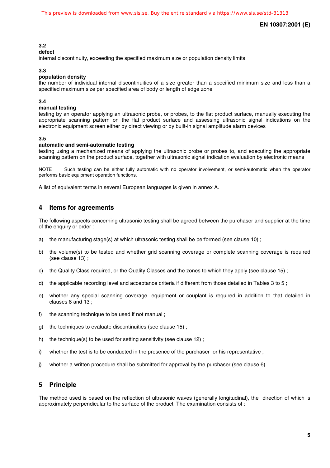#### **3.2**

#### **defect**

internal discontinuity, exceeding the specified maximum size or population density limits

#### **3.3**

#### **population density**

the number of individual internal discontinuities of a size greater than a specified minimum size and less than a specified maximum size per specified area of body or length of edge zone

#### **3.4**

#### **manual testing**

testing by an operator applying an ultrasonic probe, or probes, to the flat product surface, manually executing the appropriate scanning pattern on the flat product surface and assessing ultrasonic signal indications on the electronic equipment screen either by direct viewing or by built-in signal amplitude alarm devices

#### **3.5**

#### **automatic and semi-automatic testing**

testing using a mechanized means of applying the ultrasonic probe or probes to, and executing the appropriate scanning pattern on the product surface, together with ultrasonic signal indication evaluation by electronic means

NOTE Such testing can be either fully automatic with no operator involvement, or semi-automatic when the operator performs basic equipment operation functions.

A list of equivalent terms in several European languages is given in annex A.

#### **4 Items for agreements**

The following aspects concerning ultrasonic testing shall be agreed between the purchaser and supplier at the time of the enquiry or order :

- a) the manufacturing stage(s) at which ultrasonic testing shall be performed (see clause 10);
- b) the volume(s) to be tested and whether grid scanning coverage or complete scanning coverage is required (see clause 13) ;
- c) the Quality Class required, or the Quality Classes and the zones to which they apply (see clause 15) ;
- d) the applicable recording level and acceptance criteria if different from those detailed in Tables 3 to 5 ;
- e) whether any special scanning coverage, equipment or couplant is required in addition to that detailed in clauses 8 and 13 ;
- f) the scanning technique to be used if not manual ;
- g) the techniques to evaluate discontinuities (see clause 15) ;
- h) the technique(s) to be used for setting sensitivity (see clause 12);
- i) whether the test is to be conducted in the presence of the purchaser or his representative ;
- j) whether a written procedure shall be submitted for approval by the purchaser (see clause 6).

#### **5 Principle**

The method used is based on the reflection of ultrasonic waves (generally longitudinal), the direction of which is approximately perpendicular to the surface of the product. The examination consists of :